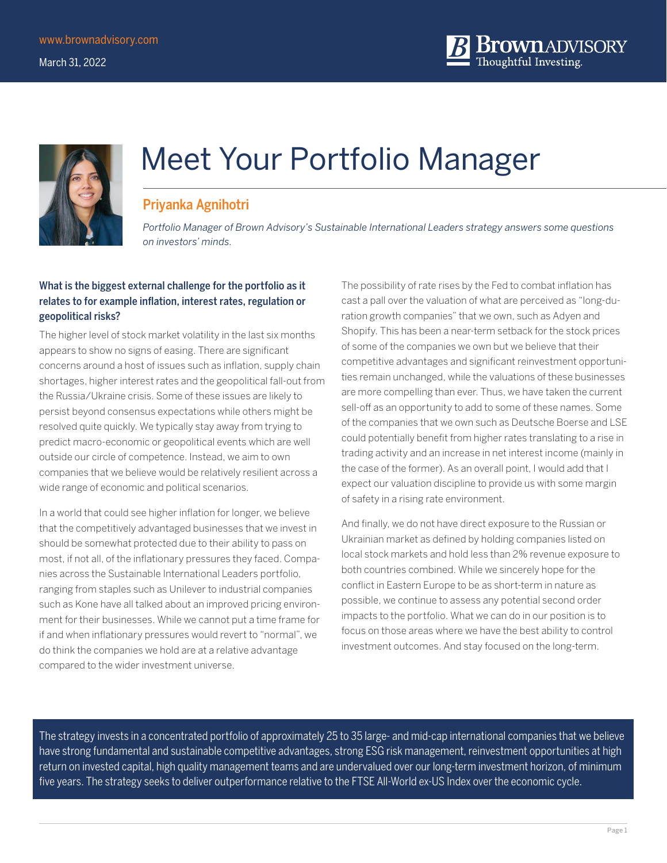

# Meet Your Portfolio Manager

### Priyanka Agnihotri

*Portfolio Manager of Brown Advisory's Sustainable International Leaders strategy answers some questions on investors' minds.*

#### What is the biggest external challenge for the portfolio as it relates to for example inflation, interest rates, regulation or geopolitical risks?

The higher level of stock market volatility in the last six months appears to show no signs of easing. There are significant concerns around a host of issues such as inflation, supply chain shortages, higher interest rates and the geopolitical fall-out from the Russia/Ukraine crisis. Some of these issues are likely to persist beyond consensus expectations while others might be resolved quite quickly. We typically stay away from trying to predict macro-economic or geopolitical events which are well outside our circle of competence. Instead, we aim to own companies that we believe would be relatively resilient across a wide range of economic and political scenarios.

In a world that could see higher inflation for longer, we believe that the competitively advantaged businesses that we invest in should be somewhat protected due to their ability to pass on most, if not all, of the inflationary pressures they faced. Companies across the Sustainable International Leaders portfolio, ranging from staples such as Unilever to industrial companies such as Kone have all talked about an improved pricing environment for their businesses. While we cannot put a time frame for if and when inflationary pressures would revert to "normal", we do think the companies we hold are at a relative advantage compared to the wider investment universe.

The possibility of rate rises by the Fed to combat inflation has cast a pall over the valuation of what are perceived as "long-duration growth companies" that we own, such as Adyen and Shopify. This has been a near-term setback for the stock prices of some of the companies we own but we believe that their competitive advantages and significant reinvestment opportunities remain unchanged, while the valuations of these businesses are more compelling than ever. Thus, we have taken the current sell-off as an opportunity to add to some of these names. Some of the companies that we own such as Deutsche Boerse and LSE could potentially benefit from higher rates translating to a rise in trading activity and an increase in net interest income (mainly in the case of the former). As an overall point, I would add that I expect our valuation discipline to provide us with some margin of safety in a rising rate environment.

And finally, we do not have direct exposure to the Russian or Ukrainian market as defined by holding companies listed on local stock markets and hold less than 2% revenue exposure to both countries combined. While we sincerely hope for the conflict in Eastern Europe to be as short-term in nature as possible, we continue to assess any potential second order impacts to the portfolio. What we can do in our position is to focus on those areas where we have the best ability to control investment outcomes. And stay focused on the long-term.

The strategy invests in a concentrated portfolio of approximately 25 to 35 large- and mid-cap international companies that we believe have strong fundamental and sustainable competitive advantages, strong ESG risk management, reinvestment opportunities at high return on invested capital, high quality management teams and are undervalued over our long-term investment horizon, of minimum five years. The strategy seeks to deliver outperformance relative to the FTSE All-World ex-US Index over the economic cycle.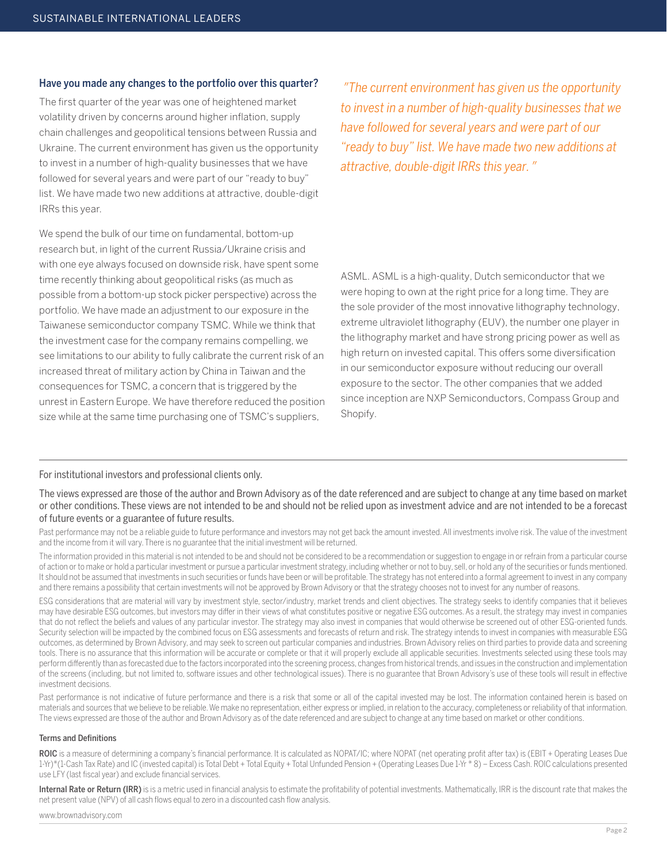#### Have you made any changes to the portfolio over this quarter?

The first quarter of the year was one of heightened market volatility driven by concerns around higher inflation, supply chain challenges and geopolitical tensions between Russia and Ukraine. The current environment has given us the opportunity to invest in a number of high-quality businesses that we have followed for several years and were part of our "ready to buy" list. We have made two new additions at attractive, double-digit IRRs this year.

We spend the bulk of our time on fundamental, bottom-up research but, in light of the current Russia/Ukraine crisis and with one eye always focused on downside risk, have spent some time recently thinking about geopolitical risks (as much as possible from a bottom-up stock picker perspective) across the portfolio. We have made an adjustment to our exposure in the Taiwanese semiconductor company TSMC. While we think that the investment case for the company remains compelling, we see limitations to our ability to fully calibrate the current risk of an increased threat of military action by China in Taiwan and the consequences for TSMC, a concern that is triggered by the unrest in Eastern Europe. We have therefore reduced the position size while at the same time purchasing one of TSMC's suppliers,

*" The current environment has given us the opportunity to invest in a number of high-quality businesses that we have followed for several years and were part of our "ready to buy" list. We have made two new additions at attractive, double-digit IRRs this year."*

ASML. ASML is a high-quality, Dutch semiconductor that we were hoping to own at the right price for a long time. They are the sole provider of the most innovative lithography technology, extreme ultraviolet lithography (EUV), the number one player in the lithography market and have strong pricing power as well as high return on invested capital. This offers some diversification in our semiconductor exposure without reducing our overall exposure to the sector. The other companies that we added since inception are NXP Semiconductors, Compass Group and Shopify.

For institutional investors and professional clients only.

The views expressed are those of the author and Brown Advisory as of the date referenced and are subject to change at any time based on market or other conditions. These views are not intended to be and should not be relied upon as investment advice and are not intended to be a forecast of future events or a guarantee of future results.

Past performance may not be a reliable guide to future performance and investors may not get back the amount invested. All investments involve risk. The value of the investment and the income from it will vary. There is no guarantee that the initial investment will be returned.

The information provided in this material is not intended to be and should not be considered to be a recommendation or suggestion to engage in or refrain from a particular course of action or to make or hold a particular investment or pursue a particular investment strategy, including whether or not to buy, sell, or hold any of the securities or funds mentioned. It should not be assumed that investments in such securities or funds have been or will be profitable. The strategy has not entered into a formal agreement to invest in any company and there remains a possibility that certain investments will not be approved by Brown Advisory or that the strategy chooses not to invest for any number of reasons.

ESG considerations that are material will vary by investment style, sector/industry, market trends and client objectives. The strategy seeks to identify companies that it believes may have desirable ESG outcomes, but investors may differ in their views of what constitutes positive or negative ESG outcomes. As a result, the strategy may invest in companies that do not reflect the beliefs and values of any particular investor. The strategy may also invest in companies that would otherwise be screened out of other ESG-oriented funds. Security selection will be impacted by the combined focus on ESG assessments and forecasts of return and risk. The strategy intends to invest in companies with measurable ESG outcomes, as determined by Brown Advisory, and may seek to screen out particular companies and industries. Brown Advisory relies on third parties to provide data and screening tools. There is no assurance that this information will be accurate or complete or that it will properly exclude all applicable securities. Investments selected using these tools may perform differently than as forecasted due to the factors incorporated into the screening process, changes from historical trends, and issues in the construction and implementation of the screens (including, but not limited to, software issues and other technological issues). There is no guarantee that Brown Advisory's use of these tools will result in effective investment decisions.

Past performance is not indicative of future performance and there is a risk that some or all of the capital invested may be lost. The information contained herein is based on materials and sources that we believe to be reliable. We make no representation, either express or implied, in relation to the accuracy, completeness or reliability of that information. The views expressed are those of the author and Brown Advisory as of the date referenced and are subject to change at any time based on market or other conditions.

#### Terms and Definitions

ROIC is a measure of determining a company's financial performance. It is calculated as NOPAT/IC; where NOPAT (net operating profit after tax) is (EBIT + Operating Leases Due 1-Yr)\*(1-Cash Tax Rate) and IC (invested capital) is Total Debt + Total Equity + Total Unfunded Pension + (Operating Leases Due 1-Yr \* 8) – Excess Cash. ROIC calculations presented use LFY (last fiscal year) and exclude financial services.

Internal Rate or Return (IRR) is is a metric used in financial analysis to estimate the profitability of potential investments. Mathematically, IRR is the discount rate that makes the net present value (NPV) of all cash flows equal to zero in a discounted cash flow analysis.

www.brownadvisory.com